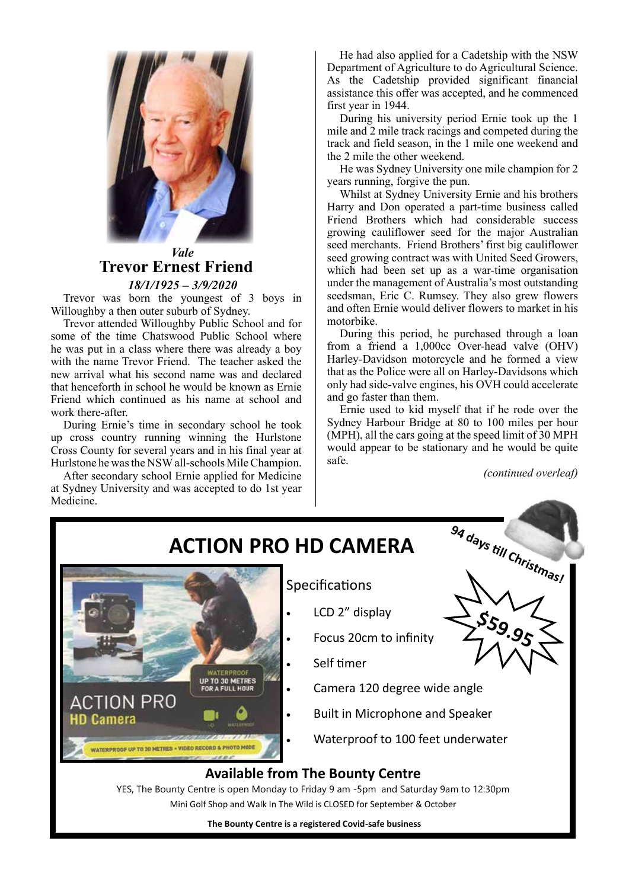

### *Vale* **Trevor Ernest Friend** *18/1/1925 – 3/9/2020*

Trevor was born the youngest of 3 boys in Willoughby a then outer suburb of Sydney.

Trevor attended Willoughby Public School and for some of the time Chatswood Public School where he was put in a class where there was already a boy with the name Trevor Friend. The teacher asked the new arrival what his second name was and declared that henceforth in school he would be known as Ernie Friend which continued as his name at school and work there-after.

During Ernie's time in secondary school he took up cross country running winning the Hurlstone Cross County for several years and in his final year at Hurlstone he was the NSW all-schools Mile Champion.

After secondary school Ernie applied for Medicine at Sydney University and was accepted to do 1st year Medicine.

He had also applied for a Cadetship with the NSW Department of Agriculture to do Agricultural Science. As the Cadetship provided significant financial assistance this offer was accepted, and he commenced first year in 1944.

During his university period Ernie took up the 1 mile and 2 mile track racings and competed during the track and field season, in the 1 mile one weekend and the 2 mile the other weekend.

He was Sydney University one mile champion for 2 years running, forgive the pun.

Whilst at Sydney University Ernie and his brothers Harry and Don operated a part-time business called Friend Brothers which had considerable success growing cauliflower seed for the major Australian seed merchants. Friend Brothers' first big cauliflower seed growing contract was with United Seed Growers, which had been set up as a war-time organisation under the management of Australia's most outstanding seedsman, Eric C. Rumsey. They also grew flowers and often Ernie would deliver flowers to market in his motorbike.

During this period, he purchased through a loan from a friend a 1,000cc Over-head valve (OHV) Harley-Davidson motorcycle and he formed a view that as the Police were all on Harley-Davidsons which only had side-valve engines, his OVH could accelerate and go faster than them.

Ernie used to kid myself that if he rode over the Sydney Harbour Bridge at 80 to 100 miles per hour (MPH), all the cars going at the speed limit of 30 MPH would appear to be stationary and he would be quite safe.

*(continued overleaf)*

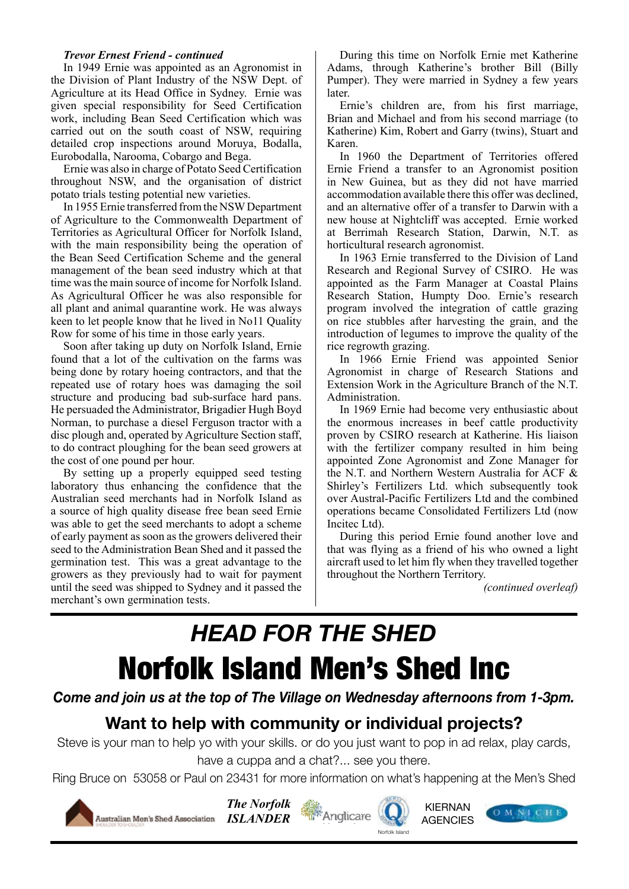### *Trevor Ernest Friend - continued*

In 1949 Ernie was appointed as an Agronomist in In 1949 Ernie was appointed as an Agronomist in<br>the Division of Plant Industry of the NSW Dept. of<br>Agriculture at its Head Office in Sydney. Ernie was Agriculture at its Head Office in Sydney. Ernie was given special responsibility for Seed Certification work, including Bean Seed Certification which was carried out on the south coast of NSW, requiring detailed crop inspections around Moruya, Bodalla, Eurobodalla, Narooma, Cobargo and Bega.

robodana, Narooma, Cobargo and Bega.<br>Ernie was also in charge of Potato Seed Certification throughout NSW, and the organisation of district potato trials testing potential new varieties.

In 1955 Ernie transferred from the NSW Department of Agriculture to the Commonwealth Department of Territories as Agricultural Officer for Norfolk Island, with the main responsibility being the operation of the Bean Seed Certification Scheme and the general management of the bean seed industry which at that time was the main source of income for Norfolk Island. As Agricultural Officer he was also responsible for all plant and animal quarantine work. He was always keen to let people know that he lived in No11 Quality Row for some of his time in those early years.

Soon after taking up duty on Norfolk Island, Ernie found that a lot of the cultivation on the farms was being done by rotary hoeing contractors, and that the repeated use of rotary hoes was damaging the soil structure and producing bad sub-surface hard pans. He persuaded the Administrator, Brigadier Hugh Boyd Norman, to purchase a diesel Ferguson tractor with a disc plough and, operated by Agriculture Section staff, to do contract ploughing for the bean seed growers at the cost of one pound per hour.

By setting up a properly equipped seed testing laboratory thus enhancing the confidence that the Australian seed merchants had in Norfolk Island as a source of high quality disease free bean seed Ernie was able to get the seed merchants to adopt a scheme of early payment as soon as the growers delivered their seed to the Administration Bean Shed and it passed the germination test. This was a great advantage to the growers as they previously had to wait for payment until the seed was shipped to Sydney and it passed the merchant's own germination tests.

During this time on Norfolk Ernie met Katherine Adams, through Katherine's brother Bill (Billy Pumper). They were married in Sydney a few years later.

Ernie's children are, from his first marriage, Brian and Michael and from his second marriage (to Katherine) Kim, Robert and Garry (twins), Stuart and Karen.

In 1960 the Department of Territories offered Ernie Friend a transfer to an Agronomist position in New Guinea, but as they did not have married accommodation available there this offer was declined, and an alternative offer of a transfer to Darwin with a new house at Nightcliff was accepted. Ernie worked at Berrimah Research Station, Darwin, N.T. as horticultural research agronomist.

In 1963 Ernie transferred to the Division of Land Research and Regional Survey of CSIRO. He was appointed as the Farm Manager at Coastal Plains Research Station, Humpty Doo. Ernie's research program involved the integration of cattle grazing on rice stubbles after harvesting the grain, and the introduction of legumes to improve the quality of the rice regrowth grazing.

In 1966 Ernie Friend was appointed Senior Agronomist in charge of Research Stations and Extension Work in the Agriculture Branch of the N.T. Administration.

In 1969 Ernie had become very enthusiastic about the enormous increases in beef cattle productivity proven by CSIRO research at Katherine. His liaison with the fertilizer company resulted in him being appointed Zone Agronomist and Zone Manager for the N.T. and Northern Western Australia for ACF & Shirley's Fertilizers Ltd. which subsequently took over Austral-Pacific Fertilizers Ltd and the combined operations became Consolidated Fertilizers Ltd (now Incitec Ltd).

During this period Ernie found another love and that was flying as a friend of his who owned a light aircraft used to let him fly when they travelled together throughout the Northern Territory.

*(continued overleaf)*

# *HEAD FOR THE SHED* Norfolk Island Men's Shed Inc

*Come and join us at the top of The Village on Wednesday afternoons from 1-3pm.*

## **Want to help with community or individual projects?**

Steve is your man to help yo with your skills. or do you just want to pop in ad relax, play cards, have a cuppa and a chat?... see you there.

Ring Bruce on 53058 or Paul on 23431 for more information on what's happening at the Men's Shed









In A' Stik